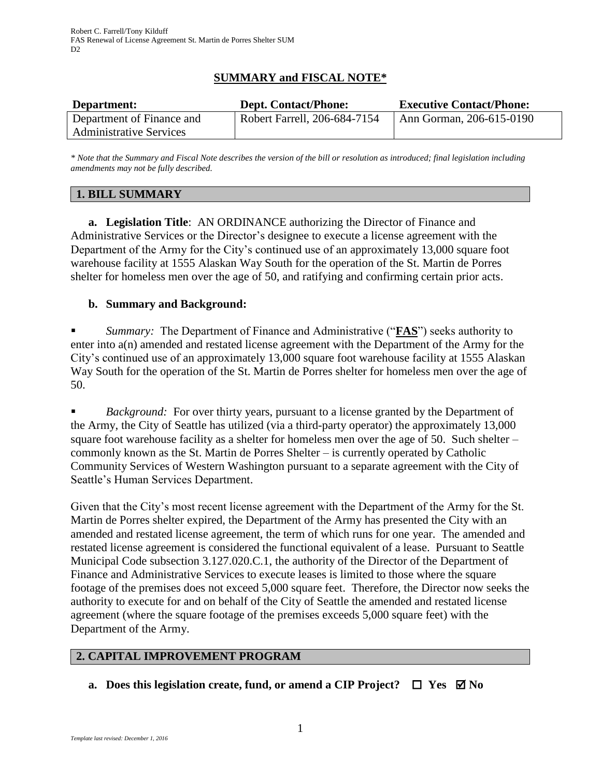# **SUMMARY and FISCAL NOTE\***

| Department:                    | <b>Dept. Contact/Phone:</b>  | <b>Executive Contact/Phone:</b>  |
|--------------------------------|------------------------------|----------------------------------|
| Department of Finance and      | Robert Farrell, 206-684-7154 | $\vert$ Ann Gorman, 206-615-0190 |
| <b>Administrative Services</b> |                              |                                  |

*\* Note that the Summary and Fiscal Note describes the version of the bill or resolution as introduced; final legislation including amendments may not be fully described.*

#### **1. BILL SUMMARY**

**a. Legislation Title**: AN ORDINANCE authorizing the Director of Finance and Administrative Services or the Director's designee to execute a license agreement with the Department of the Army for the City's continued use of an approximately 13,000 square foot warehouse facility at 1555 Alaskan Way South for the operation of the St. Martin de Porres shelter for homeless men over the age of 50, and ratifying and confirming certain prior acts.

### **b. Summary and Background:**

 *Summary:* The Department of Finance and Administrative ("**FAS**") seeks authority to enter into a(n) amended and restated license agreement with the Department of the Army for the City's continued use of an approximately 13,000 square foot warehouse facility at 1555 Alaskan Way South for the operation of the St. Martin de Porres shelter for homeless men over the age of 50.

 *Background:* For over thirty years, pursuant to a license granted by the Department of the Army, the City of Seattle has utilized (via a third-party operator) the approximately 13,000 square foot warehouse facility as a shelter for homeless men over the age of 50. Such shelter – commonly known as the St. Martin de Porres Shelter – is currently operated by Catholic Community Services of Western Washington pursuant to a separate agreement with the City of Seattle's Human Services Department.

Given that the City's most recent license agreement with the Department of the Army for the St. Martin de Porres shelter expired, the Department of the Army has presented the City with an amended and restated license agreement, the term of which runs for one year. The amended and restated license agreement is considered the functional equivalent of a lease. Pursuant to Seattle Municipal Code subsection 3.127.020.C.1, the authority of the Director of the Department of Finance and Administrative Services to execute leases is limited to those where the square footage of the premises does not exceed 5,000 square feet. Therefore, the Director now seeks the authority to execute for and on behalf of the City of Seattle the amended and restated license agreement (where the square footage of the premises exceeds 5,000 square feet) with the Department of the Army.

### **2. CAPITAL IMPROVEMENT PROGRAM**

**a.** Does this legislation create, fund, or amend a CIP Project?  $\Box$  Yes  $\boxtimes$  No